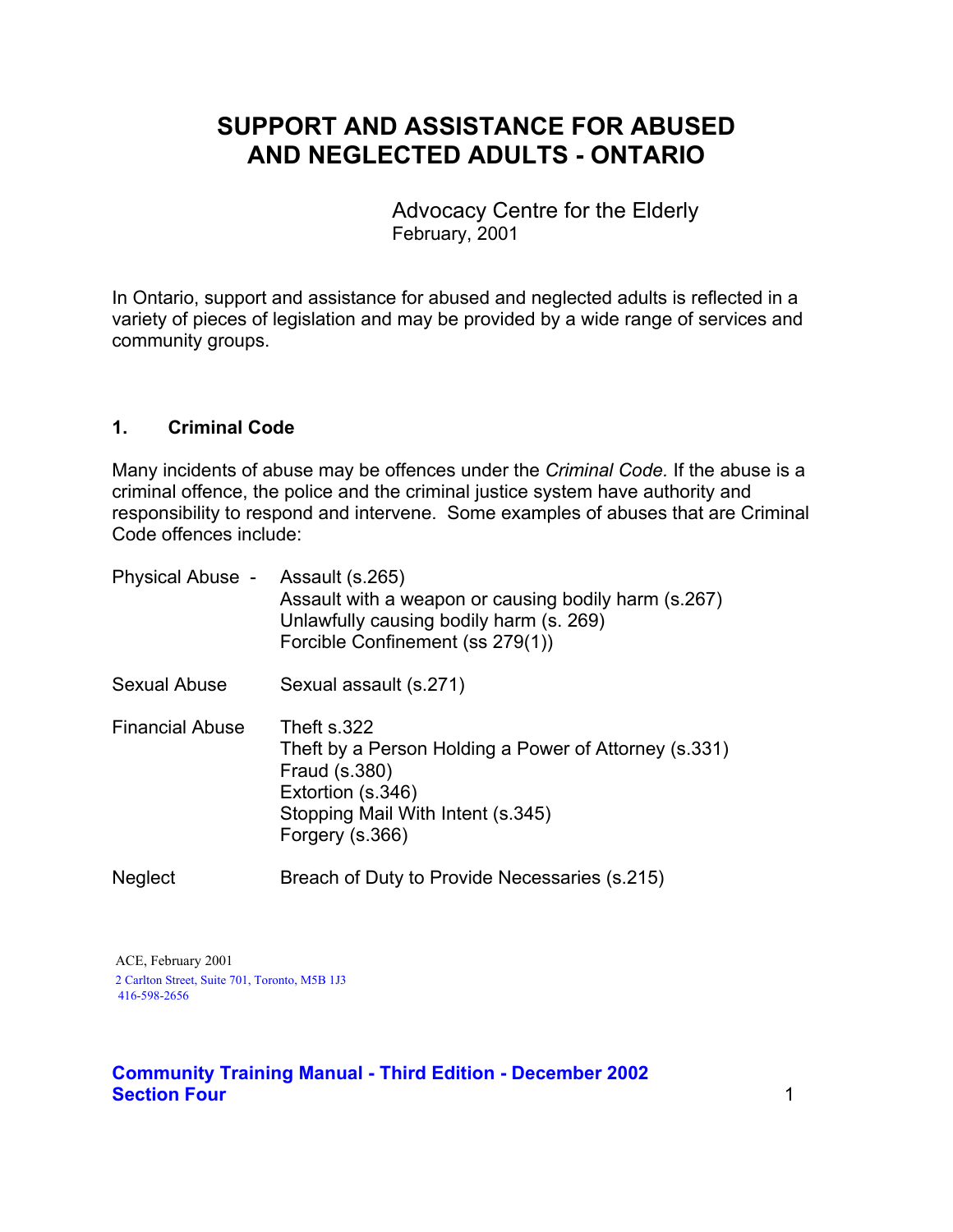# **SUPPORT AND ASSISTANCE FOR ABUSED AND NEGLECTED ADULTS - ONTARIO**

Advocacy Centre for the Elderly February, 2001

In Ontario, support and assistance for abused and neglected adults is reflected in a variety of pieces of legislation and may be provided by a wide range of services and community groups.

#### **1. Criminal Code**

Many incidents of abuse may be offences under the *Criminal Code.* If the abuse is a criminal offence, the police and the criminal justice system have authority and responsibility to respond and intervene. Some examples of abuses that are Criminal Code offences include:

| <b>Physical Abuse -</b> | Assault (s.265)<br>Assault with a weapon or causing bodily harm (s.267)<br>Unlawfully causing bodily harm (s. 269)<br>Forcible Confinement (ss 279(1))             |
|-------------------------|--------------------------------------------------------------------------------------------------------------------------------------------------------------------|
| Sexual Abuse            | Sexual assault (s.271)                                                                                                                                             |
| <b>Financial Abuse</b>  | Theft s.322<br>Theft by a Person Holding a Power of Attorney (s.331)<br>Fraud (s.380)<br>Extortion (s.346)<br>Stopping Mail With Intent (s.345)<br>Forgery (s.366) |
| <b>Neglect</b>          | Breach of Duty to Provide Necessaries (s.215)                                                                                                                      |

 ACE, February 2001 2 Carlton Street, Suite 701, Toronto, M5B 1J3 416-598-2656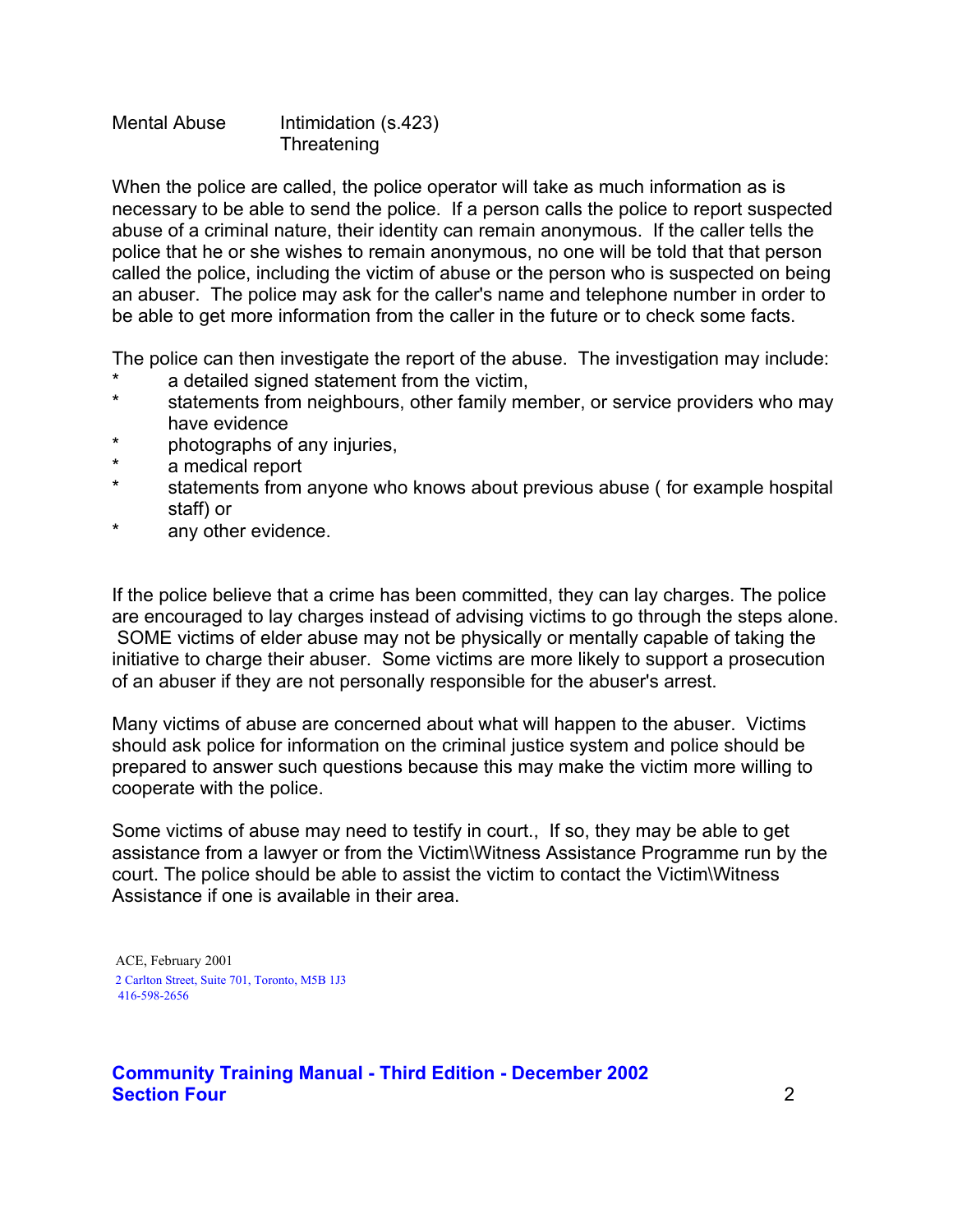Mental Abuse Intimidation (s.423) **Threatening** 

When the police are called, the police operator will take as much information as is necessary to be able to send the police. If a person calls the police to report suspected abuse of a criminal nature, their identity can remain anonymous. If the caller tells the police that he or she wishes to remain anonymous, no one will be told that that person called the police, including the victim of abuse or the person who is suspected on being an abuser. The police may ask for the caller's name and telephone number in order to be able to get more information from the caller in the future or to check some facts.

The police can then investigate the report of the abuse. The investigation may include:

- a detailed signed statement from the victim,
- \* statements from neighbours, other family member, or service providers who may have evidence
- \* photographs of any injuries,
- \* a medical report
- \* statements from anyone who knows about previous abuse ( for example hospital staff) or
- \* any other evidence.

If the police believe that a crime has been committed, they can lay charges. The police are encouraged to lay charges instead of advising victims to go through the steps alone. SOME victims of elder abuse may not be physically or mentally capable of taking the initiative to charge their abuser. Some victims are more likely to support a prosecution of an abuser if they are not personally responsible for the abuser's arrest.

Many victims of abuse are concerned about what will happen to the abuser. Victims should ask police for information on the criminal justice system and police should be prepared to answer such questions because this may make the victim more willing to cooperate with the police.

Some victims of abuse may need to testify in court., If so, they may be able to get assistance from a lawyer or from the Victim\Witness Assistance Programme run by the court. The police should be able to assist the victim to contact the Victim\Witness Assistance if one is available in their area.

 ACE, February 2001 2 Carlton Street, Suite 701, Toronto, M5B 1J3 416-598-2656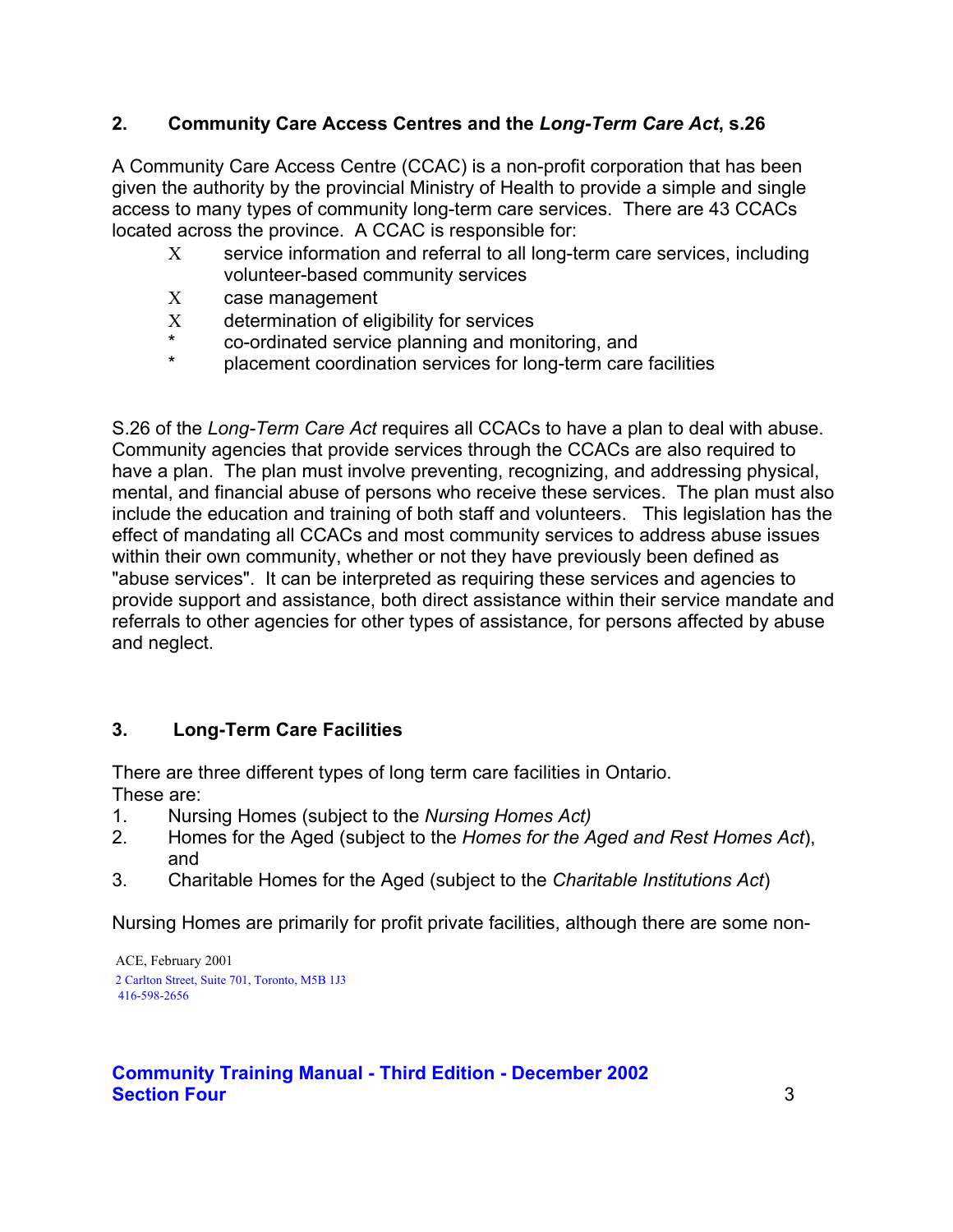# **2. Community Care Access Centres and the** *Long-Term Care Act***, s.26**

A Community Care Access Centre (CCAC) is a non-profit corporation that has been given the authority by the provincial Ministry of Health to provide a simple and single access to many types of community long-term care services. There are 43 CCACs located across the province. A CCAC is responsible for:

- Χ service information and referral to all long-term care services, including volunteer-based community services
- Χ case management
- Χ determination of eligibility for services
- \* co-ordinated service planning and monitoring, and
- placement coordination services for long-term care facilities

S.26 of the *Long-Term Care Act* requires all CCACs to have a plan to deal with abuse. Community agencies that provide services through the CCACs are also required to have a plan. The plan must involve preventing, recognizing, and addressing physical, mental, and financial abuse of persons who receive these services. The plan must also include the education and training of both staff and volunteers. This legislation has the effect of mandating all CCACs and most community services to address abuse issues within their own community, whether or not they have previously been defined as "abuse services". It can be interpreted as requiring these services and agencies to provide support and assistance, both direct assistance within their service mandate and referrals to other agencies for other types of assistance, for persons affected by abuse and neglect.

# **3. Long-Term Care Facilities**

There are three different types of long term care facilities in Ontario. These are:

- 1. Nursing Homes (subject to the *Nursing Homes Act)*
- 2. Homes for the Aged (subject to the *Homes for the Aged and Rest Homes Act*), and
- 3. Charitable Homes for the Aged (subject to the *Charitable Institutions Act*)

Nursing Homes are primarily for profit private facilities, although there are some non-

 ACE, February 2001 2 Carlton Street, Suite 701, Toronto, M5B 1J3 416-598-2656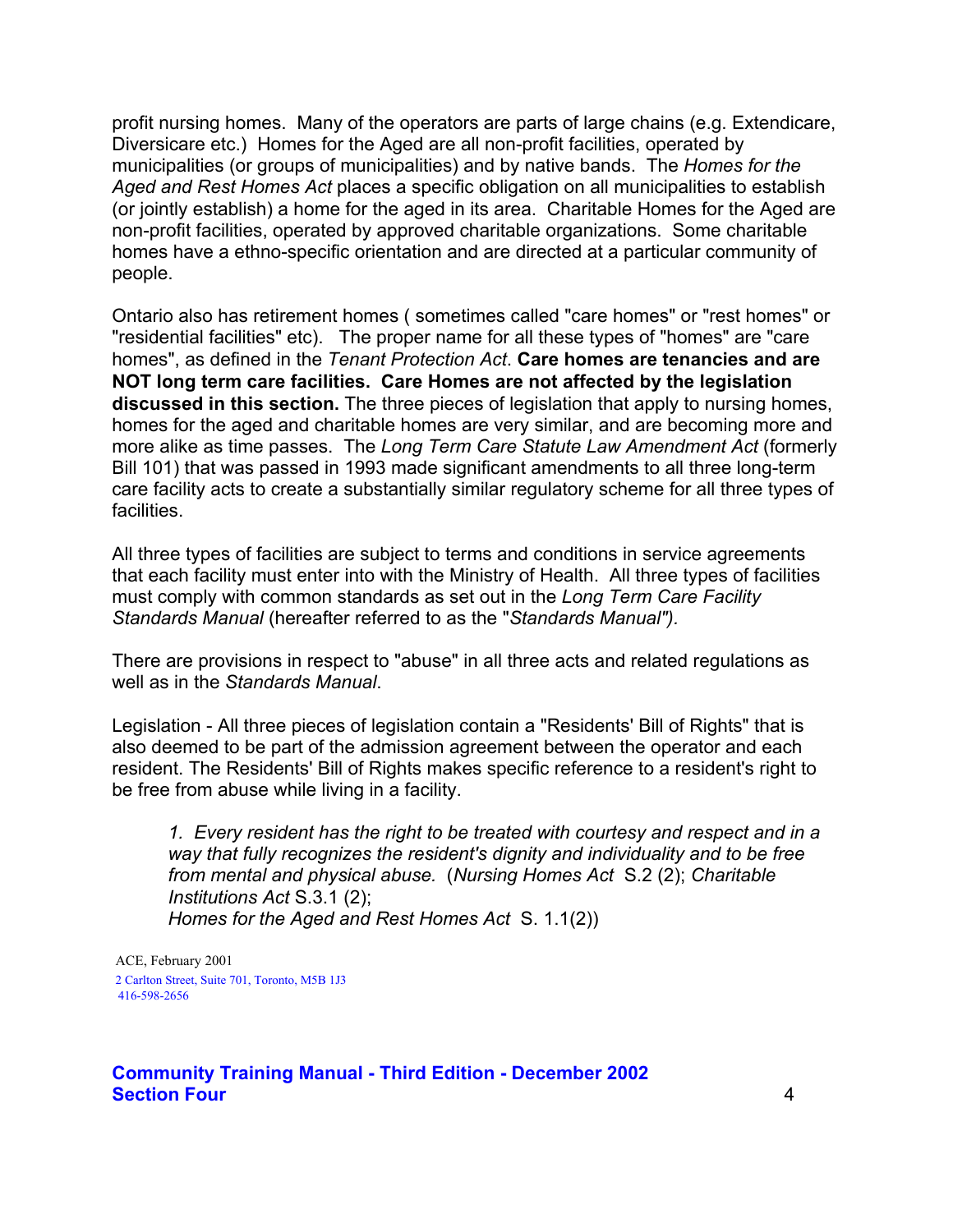profit nursing homes. Many of the operators are parts of large chains (e.g. Extendicare, Diversicare etc.) Homes for the Aged are all non-profit facilities, operated by municipalities (or groups of municipalities) and by native bands. The *Homes for the Aged and Rest Homes Act* places a specific obligation on all municipalities to establish (or jointly establish) a home for the aged in its area. Charitable Homes for the Aged are non-profit facilities, operated by approved charitable organizations. Some charitable homes have a ethno-specific orientation and are directed at a particular community of people.

Ontario also has retirement homes ( sometimes called "care homes" or "rest homes" or "residential facilities" etc). The proper name for all these types of "homes" are "care homes", as defined in the *Tenant Protection Act*. **Care homes are tenancies and are NOT long term care facilities. Care Homes are not affected by the legislation discussed in this section.** The three pieces of legislation that apply to nursing homes, homes for the aged and charitable homes are very similar, and are becoming more and more alike as time passes. The *Long Term Care Statute Law Amendment Act* (formerly Bill 101) that was passed in 1993 made significant amendments to all three long-term care facility acts to create a substantially similar regulatory scheme for all three types of facilities.

All three types of facilities are subject to terms and conditions in service agreements that each facility must enter into with the Ministry of Health. All three types of facilities must comply with common standards as set out in the *Long Term Care Facility Standards Manual* (hereafter referred to as the "*Standards Manual").*

There are provisions in respect to "abuse" in all three acts and related regulations as well as in the *Standards Manual*.

Legislation - All three pieces of legislation contain a "Residents' Bill of Rights" that is also deemed to be part of the admission agreement between the operator and each resident. The Residents' Bill of Rights makes specific reference to a resident's right to be free from abuse while living in a facility.

*1. Every resident has the right to be treated with courtesy and respect and in a way that fully recognizes the resident's dignity and individuality and to be free from mental and physical abuse.* (*Nursing Homes Act* S.2 (2); *Charitable Institutions Act* S.3.1 (2); *Homes for the Aged and Rest Homes Act* S. 1.1(2))

 ACE, February 2001 2 Carlton Street, Suite 701, Toronto, M5B 1J3 416-598-2656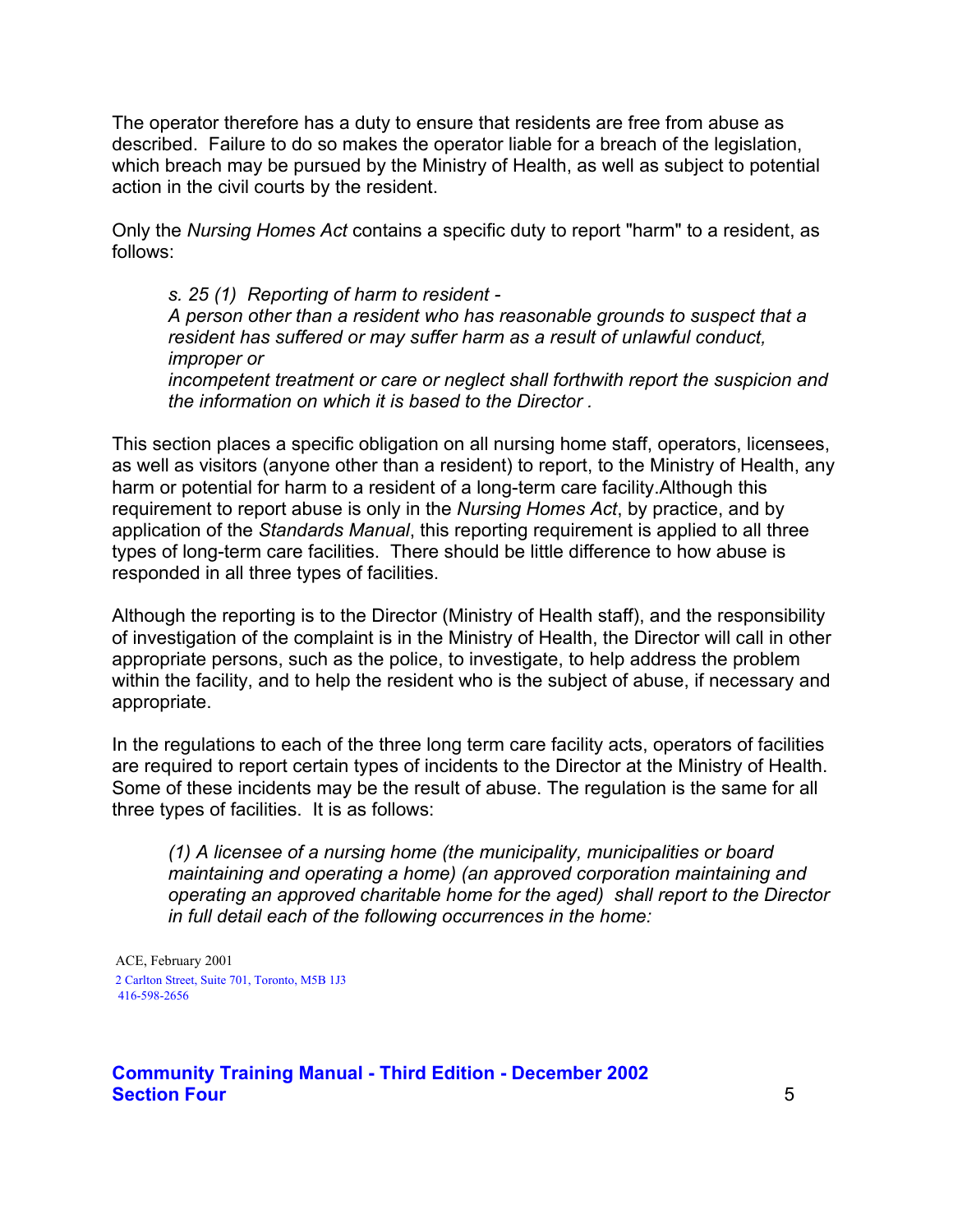The operator therefore has a duty to ensure that residents are free from abuse as described. Failure to do so makes the operator liable for a breach of the legislation, which breach may be pursued by the Ministry of Health, as well as subject to potential action in the civil courts by the resident.

Only the *Nursing Homes Act* contains a specific duty to report "harm" to a resident, as follows:

*s. 25 (1) Reporting of harm to resident - A person other than a resident who has reasonable grounds to suspect that a resident has suffered or may suffer harm as a result of unlawful conduct, improper or incompetent treatment or care or neglect shall forthwith report the suspicion and* 

*the information on which it is based to the Director .* 

This section places a specific obligation on all nursing home staff, operators, licensees, as well as visitors (anyone other than a resident) to report, to the Ministry of Health, any harm or potential for harm to a resident of a long-term care facility.Although this requirement to report abuse is only in the *Nursing Homes Act*, by practice, and by application of the *Standards Manual*, this reporting requirement is applied to all three types of long-term care facilities. There should be little difference to how abuse is responded in all three types of facilities.

Although the reporting is to the Director (Ministry of Health staff), and the responsibility of investigation of the complaint is in the Ministry of Health, the Director will call in other appropriate persons, such as the police, to investigate, to help address the problem within the facility, and to help the resident who is the subject of abuse, if necessary and appropriate.

In the regulations to each of the three long term care facility acts, operators of facilities are required to report certain types of incidents to the Director at the Ministry of Health. Some of these incidents may be the result of abuse. The regulation is the same for all three types of facilities. It is as follows:

*(1) A licensee of a nursing home (the municipality, municipalities or board maintaining and operating a home) (an approved corporation maintaining and operating an approved charitable home for the aged) shall report to the Director in full detail each of the following occurrences in the home:* 

 ACE, February 2001 2 Carlton Street, Suite 701, Toronto, M5B 1J3 416-598-2656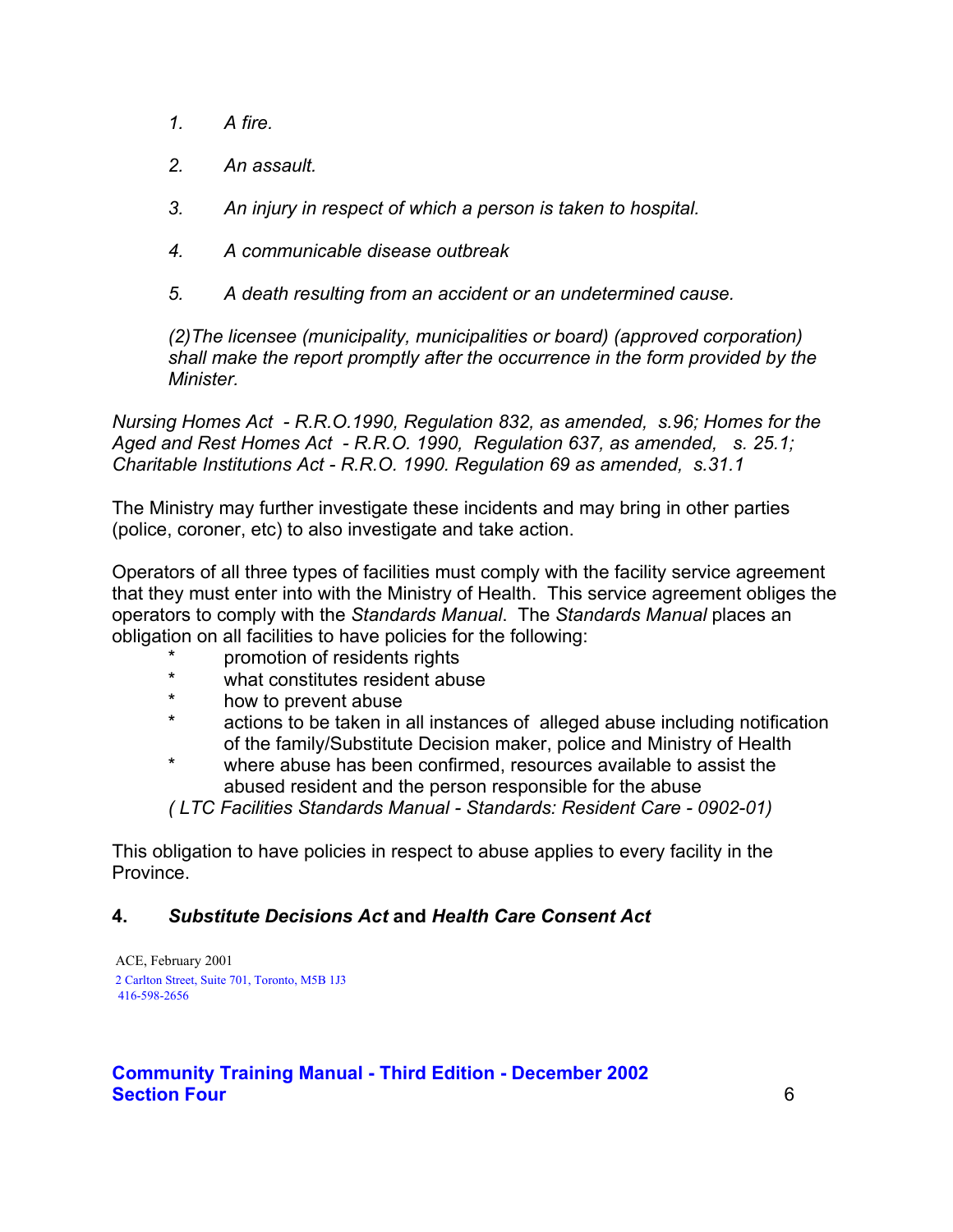- *1. A fire.*
- *2. An assault.*
- *3. An injury in respect of which a person is taken to hospital.*
- *4. A communicable disease outbreak*
- *5. A death resulting from an accident or an undetermined cause.*

*(2)The licensee (municipality, municipalities or board) (approved corporation) shall make the report promptly after the occurrence in the form provided by the Minister.* 

*Nursing Homes Act - R.R.O.1990, Regulation 832, as amended, s.96; Homes for the Aged and Rest Homes Act - R.R.O. 1990, Regulation 637, as amended, s. 25.1; Charitable Institutions Act - R.R.O. 1990. Regulation 69 as amended, s.31.1* 

The Ministry may further investigate these incidents and may bring in other parties (police, coroner, etc) to also investigate and take action.

Operators of all three types of facilities must comply with the facility service agreement that they must enter into with the Ministry of Health. This service agreement obliges the operators to comply with the *Standards Manual*. The *Standards Manual* places an obligation on all facilities to have policies for the following:

- \* promotion of residents rights<br>\* what constitutes resident abu
- what constitutes resident abuse
- \* how to prevent abuse<br>\* actions to be taken in
- actions to be taken in all instances of alleged abuse including notification of the family/Substitute Decision maker, police and Ministry of Health
- \* where abuse has been confirmed, resources available to assist the abused resident and the person responsible for the abuse

*( LTC Facilities Standards Manual - Standards: Resident Care - 0902-01)* 

This obligation to have policies in respect to abuse applies to every facility in the **Province** 

# **4.** *Substitute Decisions Act* **and** *Health Care Consent Act*

 ACE, February 2001 2 Carlton Street, Suite 701, Toronto, M5B 1J3 416-598-2656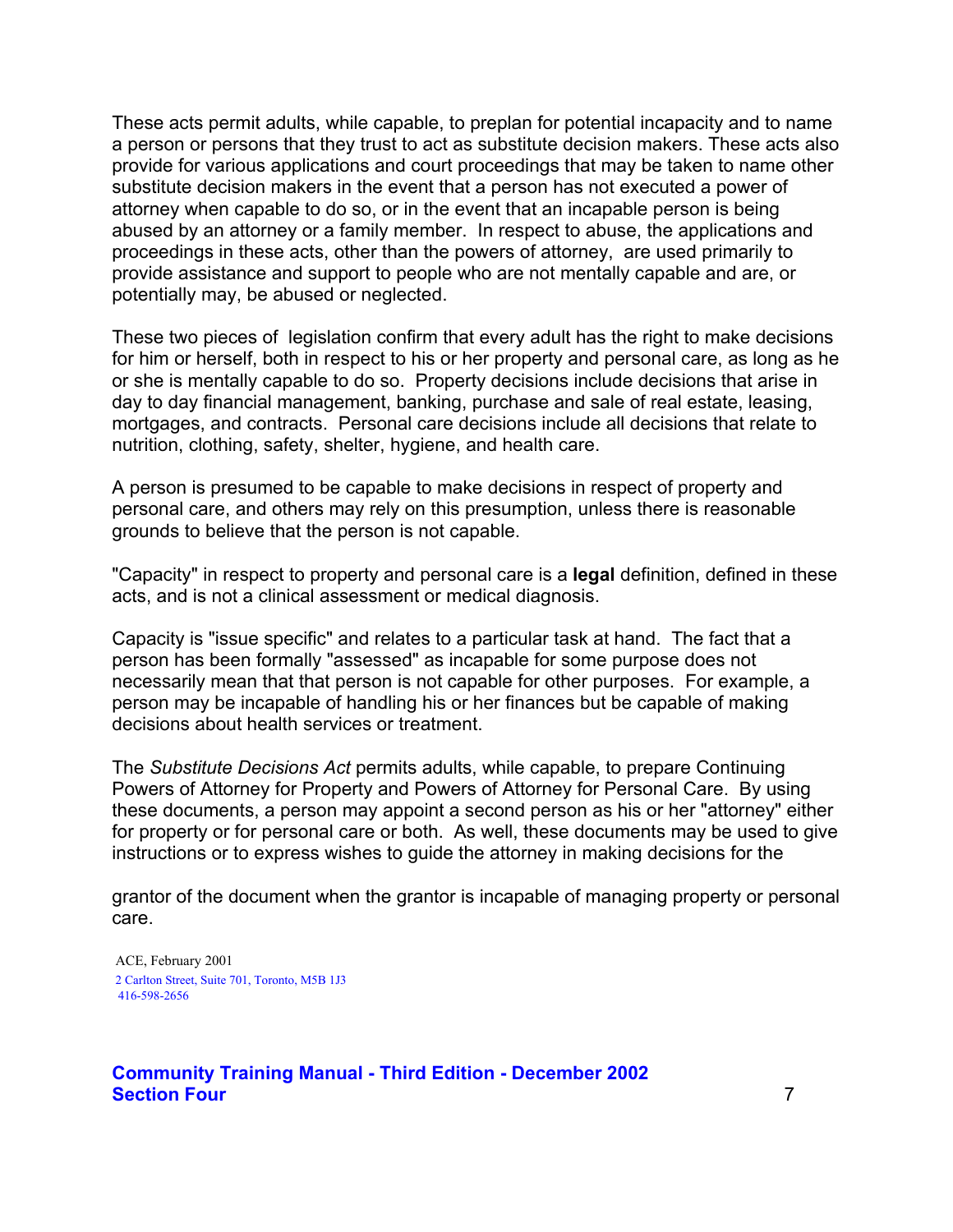These acts permit adults, while capable, to preplan for potential incapacity and to name a person or persons that they trust to act as substitute decision makers. These acts also provide for various applications and court proceedings that may be taken to name other substitute decision makers in the event that a person has not executed a power of attorney when capable to do so, or in the event that an incapable person is being abused by an attorney or a family member. In respect to abuse, the applications and proceedings in these acts, other than the powers of attorney, are used primarily to provide assistance and support to people who are not mentally capable and are, or potentially may, be abused or neglected.

These two pieces of legislation confirm that every adult has the right to make decisions for him or herself, both in respect to his or her property and personal care, as long as he or she is mentally capable to do so. Property decisions include decisions that arise in day to day financial management, banking, purchase and sale of real estate, leasing, mortgages, and contracts. Personal care decisions include all decisions that relate to nutrition, clothing, safety, shelter, hygiene, and health care.

A person is presumed to be capable to make decisions in respect of property and personal care, and others may rely on this presumption, unless there is reasonable grounds to believe that the person is not capable.

"Capacity" in respect to property and personal care is a **legal** definition, defined in these acts, and is not a clinical assessment or medical diagnosis.

Capacity is "issue specific" and relates to a particular task at hand. The fact that a person has been formally "assessed" as incapable for some purpose does not necessarily mean that that person is not capable for other purposes. For example, a person may be incapable of handling his or her finances but be capable of making decisions about health services or treatment.

The *Substitute Decisions Act* permits adults, while capable, to prepare Continuing Powers of Attorney for Property and Powers of Attorney for Personal Care. By using these documents, a person may appoint a second person as his or her "attorney" either for property or for personal care or both. As well, these documents may be used to give instructions or to express wishes to guide the attorney in making decisions for the

grantor of the document when the grantor is incapable of managing property or personal care.

 ACE, February 2001 2 Carlton Street, Suite 701, Toronto, M5B 1J3 416-598-2656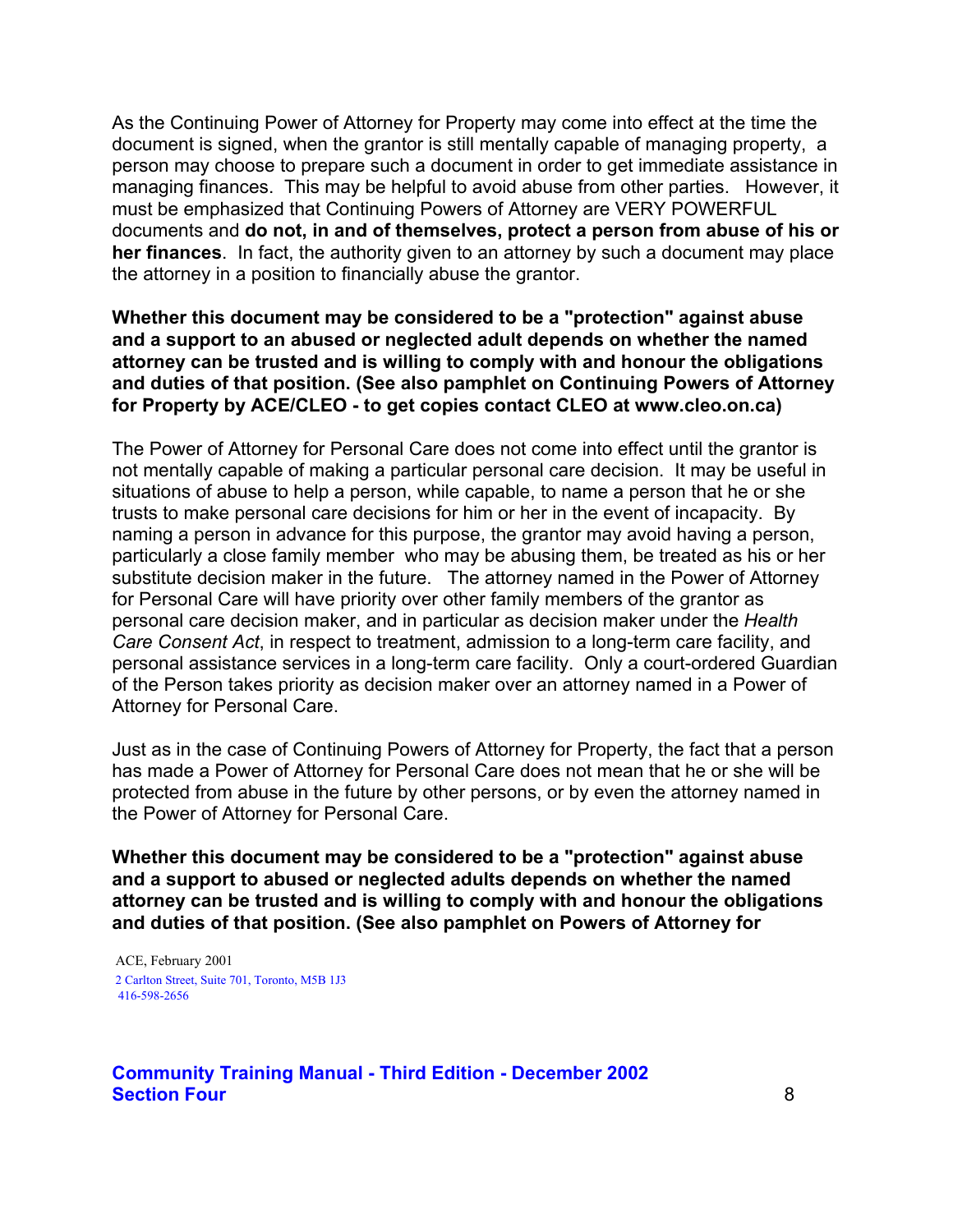As the Continuing Power of Attorney for Property may come into effect at the time the document is signed, when the grantor is still mentally capable of managing property, a person may choose to prepare such a document in order to get immediate assistance in managing finances. This may be helpful to avoid abuse from other parties. However, it must be emphasized that Continuing Powers of Attorney are VERY POWERFUL documents and **do not, in and of themselves, protect a person from abuse of his or her finances**. In fact, the authority given to an attorney by such a document may place the attorney in a position to financially abuse the grantor.

#### **Whether this document may be considered to be a "protection" against abuse and a support to an abused or neglected adult depends on whether the named attorney can be trusted and is willing to comply with and honour the obligations and duties of that position. (See also pamphlet on Continuing Powers of Attorney for Property by ACE/CLEO - to get copies contact CLEO at www.cleo.on.ca)**

The Power of Attorney for Personal Care does not come into effect until the grantor is not mentally capable of making a particular personal care decision. It may be useful in situations of abuse to help a person, while capable, to name a person that he or she trusts to make personal care decisions for him or her in the event of incapacity. By naming a person in advance for this purpose, the grantor may avoid having a person, particularly a close family member who may be abusing them, be treated as his or her substitute decision maker in the future. The attorney named in the Power of Attorney for Personal Care will have priority over other family members of the grantor as personal care decision maker, and in particular as decision maker under the *Health Care Consent Act*, in respect to treatment, admission to a long-term care facility, and personal assistance services in a long-term care facility. Only a court-ordered Guardian of the Person takes priority as decision maker over an attorney named in a Power of Attorney for Personal Care.

Just as in the case of Continuing Powers of Attorney for Property, the fact that a person has made a Power of Attorney for Personal Care does not mean that he or she will be protected from abuse in the future by other persons, or by even the attorney named in the Power of Attorney for Personal Care.

**Whether this document may be considered to be a "protection" against abuse and a support to abused or neglected adults depends on whether the named attorney can be trusted and is willing to comply with and honour the obligations and duties of that position. (See also pamphlet on Powers of Attorney for** 

 ACE, February 2001 2 Carlton Street, Suite 701, Toronto, M5B 1J3 416-598-2656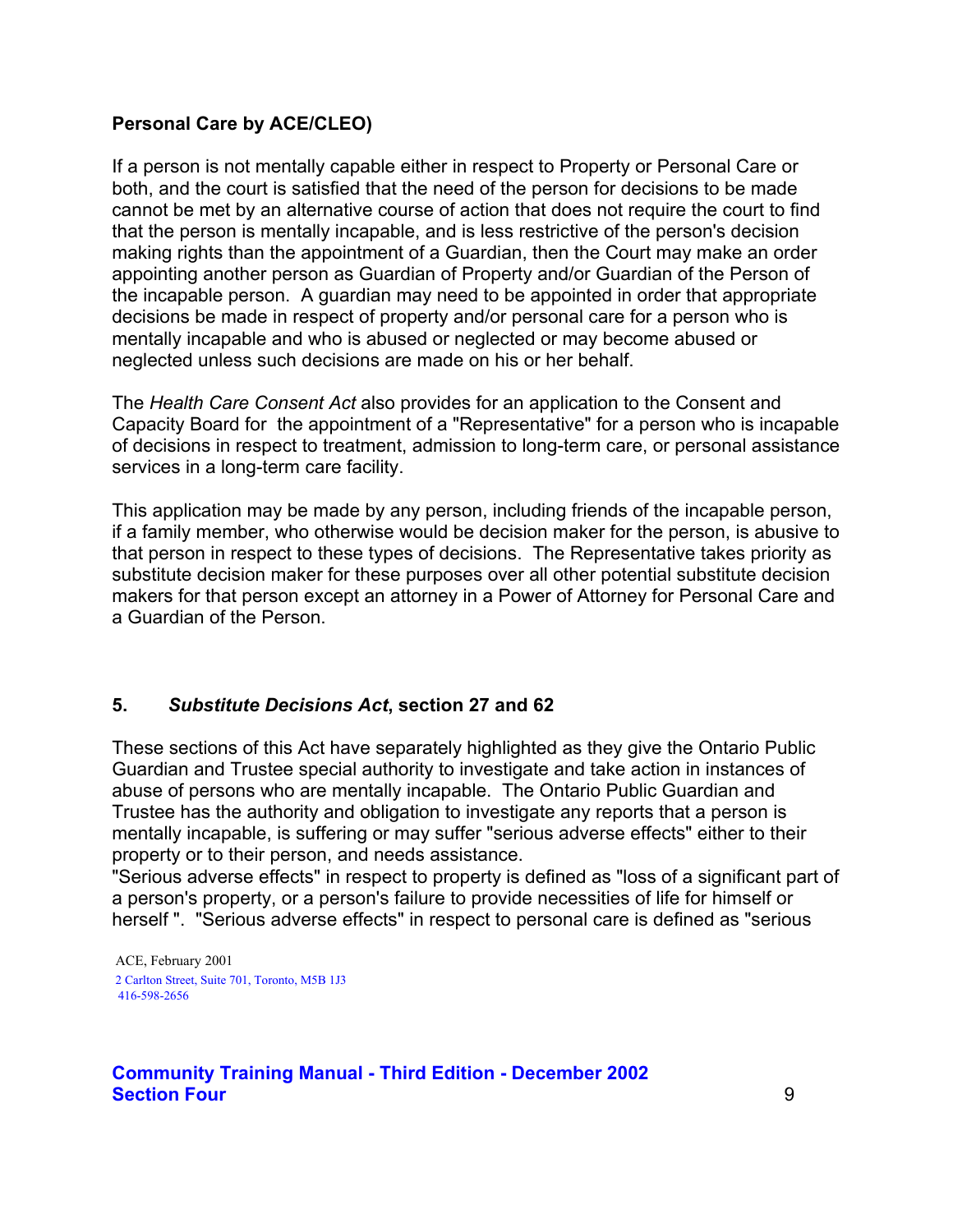# **Personal Care by ACE/CLEO)**

If a person is not mentally capable either in respect to Property or Personal Care or both, and the court is satisfied that the need of the person for decisions to be made cannot be met by an alternative course of action that does not require the court to find that the person is mentally incapable, and is less restrictive of the person's decision making rights than the appointment of a Guardian, then the Court may make an order appointing another person as Guardian of Property and/or Guardian of the Person of the incapable person. A guardian may need to be appointed in order that appropriate decisions be made in respect of property and/or personal care for a person who is mentally incapable and who is abused or neglected or may become abused or neglected unless such decisions are made on his or her behalf.

The *Health Care Consent Act* also provides for an application to the Consent and Capacity Board for the appointment of a "Representative" for a person who is incapable of decisions in respect to treatment, admission to long-term care, or personal assistance services in a long-term care facility.

This application may be made by any person, including friends of the incapable person, if a family member, who otherwise would be decision maker for the person, is abusive to that person in respect to these types of decisions. The Representative takes priority as substitute decision maker for these purposes over all other potential substitute decision makers for that person except an attorney in a Power of Attorney for Personal Care and a Guardian of the Person.

# **5.** *Substitute Decisions Act***, section 27 and 62**

These sections of this Act have separately highlighted as they give the Ontario Public Guardian and Trustee special authority to investigate and take action in instances of abuse of persons who are mentally incapable. The Ontario Public Guardian and Trustee has the authority and obligation to investigate any reports that a person is mentally incapable, is suffering or may suffer "serious adverse effects" either to their property or to their person, and needs assistance.

"Serious adverse effects" in respect to property is defined as "loss of a significant part of a person's property, or a person's failure to provide necessities of life for himself or herself ". "Serious adverse effects" in respect to personal care is defined as "serious

 ACE, February 2001 2 Carlton Street, Suite 701, Toronto, M5B 1J3 416-598-2656